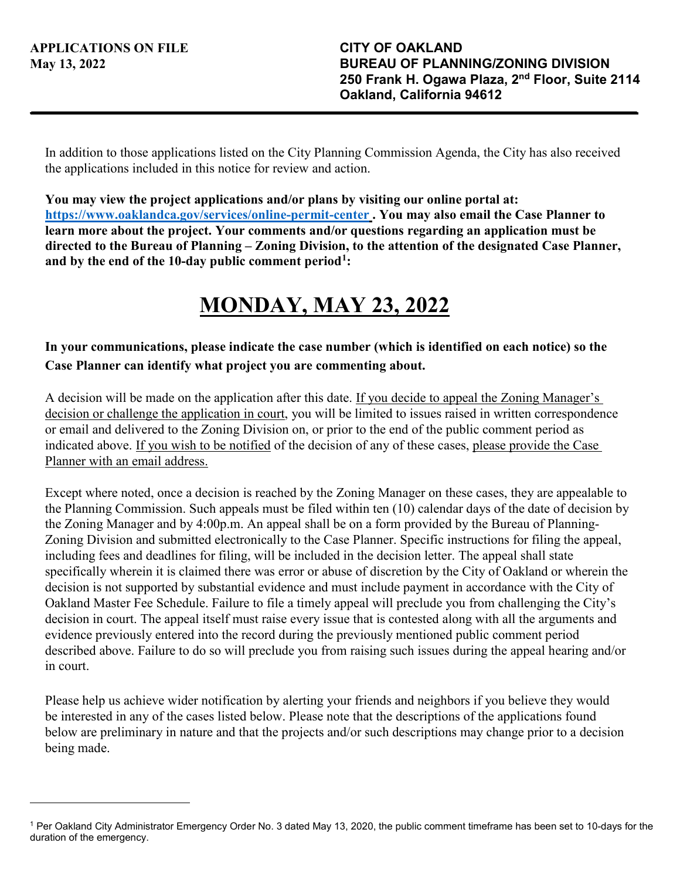In addition to those applications listed on the City Planning Commission Agenda, the City has also received the applications included in this notice for review and action.

**You may view the project applications and/or plans by visiting our online portal at: <https://www.oaklandca.gov/services/online-permit-center>. You may also email the Case Planner to learn more about the project. Your comments and/or questions regarding an application must be directed to the Bureau of Planning – Zoning Division, to the attention of the designated Case Planner, and by the end of the 10-day public comment period[1](#page-0-0):** 

## **MONDAY, MAY 23, 2022**

## **In your communications, please indicate the case number (which is identified on each notice) so the Case Planner can identify what project you are commenting about.**

A decision will be made on the application after this date. If you decide to appeal the Zoning Manager's decision or challenge the application in court, you will be limited to issues raised in written correspondence or email and delivered to the Zoning Division on, or prior to the end of the public comment period as indicated above. If you wish to be notified of the decision of any of these cases, please provide the Case Planner with an email address.

Except where noted, once a decision is reached by the Zoning Manager on these cases, they are appealable to the Planning Commission. Such appeals must be filed within ten (10) calendar days of the date of decision by the Zoning Manager and by 4:00p.m. An appeal shall be on a form provided by the Bureau of Planning-Zoning Division and submitted electronically to the Case Planner. Specific instructions for filing the appeal, including fees and deadlines for filing, will be included in the decision letter. The appeal shall state specifically wherein it is claimed there was error or abuse of discretion by the City of Oakland or wherein the decision is not supported by substantial evidence and must include payment in accordance with the City of Oakland Master Fee Schedule. Failure to file a timely appeal will preclude you from challenging the City's decision in court. The appeal itself must raise every issue that is contested along with all the arguments and evidence previously entered into the record during the previously mentioned public comment period described above. Failure to do so will preclude you from raising such issues during the appeal hearing and/or in court.

Please help us achieve wider notification by alerting your friends and neighbors if you believe they would be interested in any of the cases listed below. Please note that the descriptions of the applications found below are preliminary in nature and that the projects and/or such descriptions may change prior to a decision being made.

<span id="page-0-0"></span><sup>1</sup> Per Oakland City Administrator Emergency Order No. 3 dated May 13, 2020, the public comment timeframe has been set to 10-days for the duration of the emergency.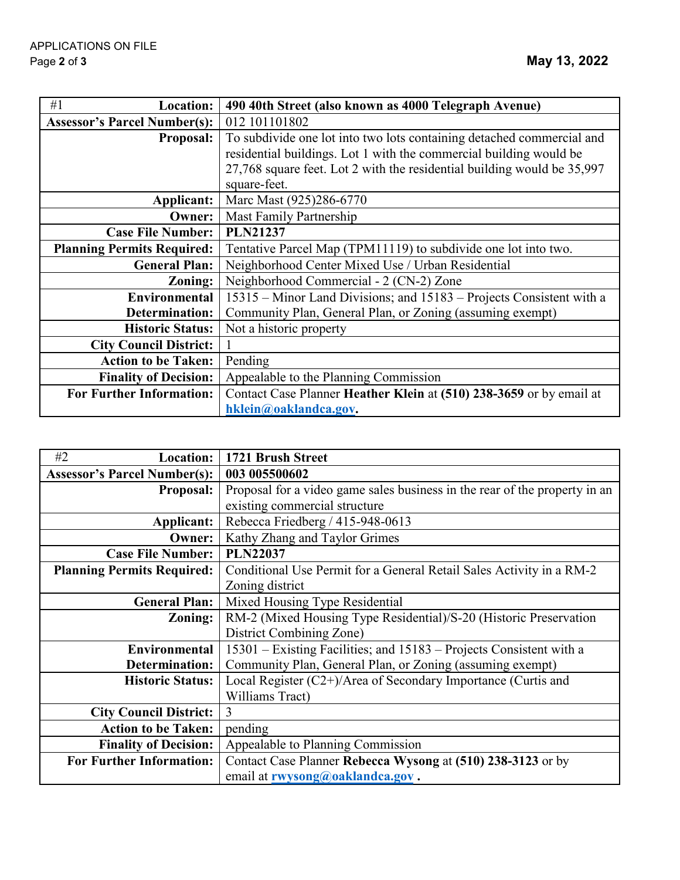| #1<br><b>Location:</b>              | 490 40th Street (also known as 4000 Telegraph Avenue)                   |
|-------------------------------------|-------------------------------------------------------------------------|
| <b>Assessor's Parcel Number(s):</b> | 012 101101802                                                           |
| <b>Proposal:</b>                    | To subdivide one lot into two lots containing detached commercial and   |
|                                     | residential buildings. Lot 1 with the commercial building would be      |
|                                     | 27,768 square feet. Lot 2 with the residential building would be 35,997 |
|                                     | square-feet.                                                            |
| Applicant:                          | Marc Mast (925)286-6770                                                 |
| <b>Owner:</b>                       | Mast Family Partnership                                                 |
| <b>Case File Number:</b>            | <b>PLN21237</b>                                                         |
| <b>Planning Permits Required:</b>   | Tentative Parcel Map (TPM11119) to subdivide one lot into two.          |
| <b>General Plan:</b>                | Neighborhood Center Mixed Use / Urban Residential                       |
| Zoning:                             | Neighborhood Commercial - 2 (CN-2) Zone                                 |
| Environmental                       | 15315 – Minor Land Divisions; and 15183 – Projects Consistent with a    |
| Determination:                      | Community Plan, General Plan, or Zoning (assuming exempt)               |
| <b>Historic Status:</b>             | Not a historic property                                                 |
| <b>City Council District:</b>       |                                                                         |
| <b>Action to be Taken:</b>          | Pending                                                                 |
| <b>Finality of Decision:</b>        | Appealable to the Planning Commission                                   |
| <b>For Further Information:</b>     | Contact Case Planner Heather Klein at (510) 238-3659 or by email at     |
|                                     | hklein@oaklandca.gov.                                                   |

| #2<br><b>Location:</b>              | 1721 Brush Street                                                          |
|-------------------------------------|----------------------------------------------------------------------------|
| <b>Assessor's Parcel Number(s):</b> | 003 005500602                                                              |
| <b>Proposal:</b>                    | Proposal for a video game sales business in the rear of the property in an |
|                                     | existing commercial structure                                              |
| Applicant:                          | Rebecca Friedberg / 415-948-0613                                           |
| <b>Owner:</b>                       | Kathy Zhang and Taylor Grimes                                              |
| <b>Case File Number:</b>            | <b>PLN22037</b>                                                            |
| <b>Planning Permits Required:</b>   | Conditional Use Permit for a General Retail Sales Activity in a RM-2       |
|                                     | Zoning district                                                            |
| <b>General Plan:</b>                | Mixed Housing Type Residential                                             |
| Zoning:                             | RM-2 (Mixed Housing Type Residential)/S-20 (Historic Preservation          |
|                                     | District Combining Zone)                                                   |
| Environmental                       | 15301 – Existing Facilities; and 15183 – Projects Consistent with a        |
| Determination:                      | Community Plan, General Plan, or Zoning (assuming exempt)                  |
| <b>Historic Status:</b>             | Local Register (C2+)/Area of Secondary Importance (Curtis and              |
|                                     | Williams Tract)                                                            |
| <b>City Council District:</b>       | 3                                                                          |
| <b>Action to be Taken:</b>          | pending                                                                    |
| <b>Finality of Decision:</b>        | Appealable to Planning Commission                                          |
| <b>For Further Information:</b>     | Contact Case Planner Rebecca Wysong at (510) 238-3123 or by                |
|                                     | email at rwysong@oaklandca.gov.                                            |